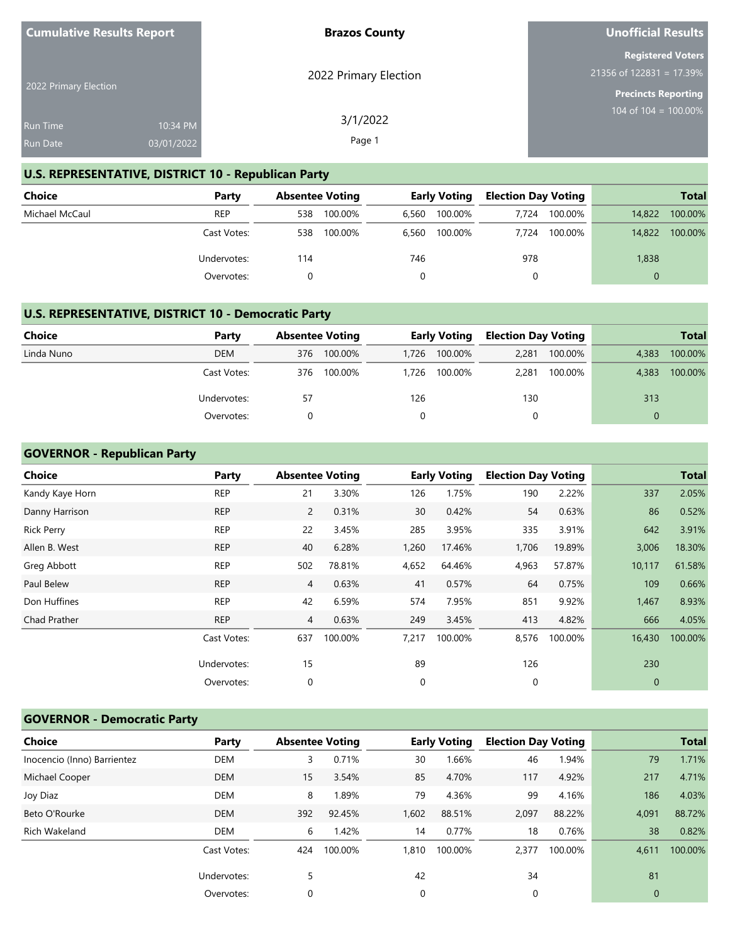| <b>Cumulative Results Report</b> |            | <b>Brazos County</b>  | <b>Unofficial Results</b>                              |
|----------------------------------|------------|-----------------------|--------------------------------------------------------|
|                                  |            | 2022 Primary Election | <b>Registered Voters</b><br>$21356$ of 122831 = 17.39% |
| 2022 Primary Election            |            |                       | <b>Precincts Reporting</b>                             |
| <b>Run Time</b>                  | 10:34 PM   | 3/1/2022              | 104 of $104 = 100.00\%$                                |
| <b>Run Date</b>                  | 03/01/2022 | Page 1                |                                                        |

# **U.S. REPRESENTATIVE, DISTRICT 10 - Republican Party**

| Choice         | Party       |     | <b>Absentee Voting</b> |       | <b>Early Voting</b> | <b>Election Day Voting</b> |         |          | <b>Total</b> |
|----------------|-------------|-----|------------------------|-------|---------------------|----------------------------|---------|----------|--------------|
| Michael McCaul | <b>REP</b>  | 538 | 100.00%                | 6.560 | 100.00%             | 7.724                      | 100.00% | 14,822   | 100.00%      |
|                | Cast Votes: | 538 | 100.00%                | 6,560 | 100.00%             | 7.724                      | 100.00% | 14,822   | 100.00%      |
|                | Undervotes: | 114 |                        | 746   |                     | 978                        |         | 1,838    |              |
|                | Overvotes:  |     |                        |       |                     | 0                          |         | $\Omega$ |              |

## **U.S. REPRESENTATIVE, DISTRICT 10 - Democratic Party**

| <b>Choice</b> | Party       |     | <b>Absentee Voting</b> |       | <b>Early Voting</b> | <b>Election Day Voting</b> |         |          | <b>Total</b> |
|---------------|-------------|-----|------------------------|-------|---------------------|----------------------------|---------|----------|--------------|
| Linda Nuno    | <b>DEM</b>  | 376 | 100.00%                | 1.726 | 100.00%             | 2,281                      | 100.00% | 4.383    | 100.00%      |
|               | Cast Votes: | 376 | 100.00%                | 1.726 | 100.00%             | 2.281                      | 100.00% | 4,383    | 100.00%      |
|               | Undervotes: | 57  |                        | 126   |                     | 130                        |         | 313      |              |
|               | Overvotes:  | 0   |                        |       |                     |                            |         | $\Omega$ |              |

## **GOVERNOR - Republican Party**

| <b>Choice</b>     | Party       | <b>Absentee Voting</b> |         |       | <b>Early Voting</b> | <b>Election Day Voting</b> |         |             | <b>Total</b> |
|-------------------|-------------|------------------------|---------|-------|---------------------|----------------------------|---------|-------------|--------------|
| Kandy Kaye Horn   | <b>REP</b>  | 21                     | 3.30%   | 126   | 1.75%               | 190                        | 2.22%   | 337         | 2.05%        |
| Danny Harrison    | <b>REP</b>  | $\mathbf{2}$           | 0.31%   | 30    | 0.42%               | 54                         | 0.63%   | 86          | 0.52%        |
| <b>Rick Perry</b> | <b>REP</b>  | 22                     | 3.45%   | 285   | 3.95%               | 335                        | 3.91%   | 642         | 3.91%        |
| Allen B. West     | <b>REP</b>  | 40                     | 6.28%   | 1,260 | 17.46%              | 1,706                      | 19.89%  | 3,006       | 18.30%       |
| Greg Abbott       | <b>REP</b>  | 502                    | 78.81%  | 4,652 | 64.46%              | 4,963                      | 57.87%  | 10,117      | 61.58%       |
| Paul Belew        | <b>REP</b>  | 4                      | 0.63%   | 41    | 0.57%               | 64                         | 0.75%   | 109         | 0.66%        |
| Don Huffines      | <b>REP</b>  | 42                     | 6.59%   | 574   | 7.95%               | 851                        | 9.92%   | 1,467       | 8.93%        |
| Chad Prather      | <b>REP</b>  | 4                      | 0.63%   | 249   | 3.45%               | 413                        | 4.82%   | 666         | 4.05%        |
|                   | Cast Votes: | 637                    | 100.00% | 7,217 | 100.00%             | 8,576                      | 100.00% | 16,430      | 100.00%      |
|                   | Undervotes: | 15                     |         | 89    |                     | 126                        |         | 230         |              |
|                   | Overvotes:  | 0                      |         | 0     |                     | 0                          |         | $\mathbf 0$ |              |
|                   |             |                        |         |       |                     |                            |         |             |              |

# **GOVERNOR - Democratic Party**

| <b>Choice</b>               | Party       |     | <b>Absentee Voting</b> |       | <b>Early Voting</b> | <b>Election Day Voting</b> |         |                | <b>Total</b> |
|-----------------------------|-------------|-----|------------------------|-------|---------------------|----------------------------|---------|----------------|--------------|
| Inocencio (Inno) Barrientez | <b>DEM</b>  | 3   | 0.71%                  | 30    | 1.66%               | 46                         | 1.94%   | 79             | 1.71%        |
| Michael Cooper              | <b>DEM</b>  | 15  | 3.54%                  | 85    | 4.70%               | 117                        | 4.92%   | 217            | 4.71%        |
| Joy Diaz                    | <b>DEM</b>  | 8   | 1.89%                  | 79    | 4.36%               | 99                         | 4.16%   | 186            | 4.03%        |
| Beto O'Rourke               | <b>DEM</b>  | 392 | 92.45%                 | 1,602 | 88.51%              | 2,097                      | 88.22%  | 4,091          | 88.72%       |
| Rich Wakeland               | <b>DEM</b>  | 6   | 1.42%                  | 14    | 0.77%               | 18                         | 0.76%   | 38             | 0.82%        |
|                             | Cast Votes: | 424 | 100.00%                | 1,810 | 100.00%             | 2,377                      | 100.00% | 4,611          | 100.00%      |
|                             | Undervotes: | 5   |                        | 42    |                     | 34                         |         | 81             |              |
|                             | Overvotes:  | 0   |                        | 0     |                     | 0                          |         | $\overline{0}$ |              |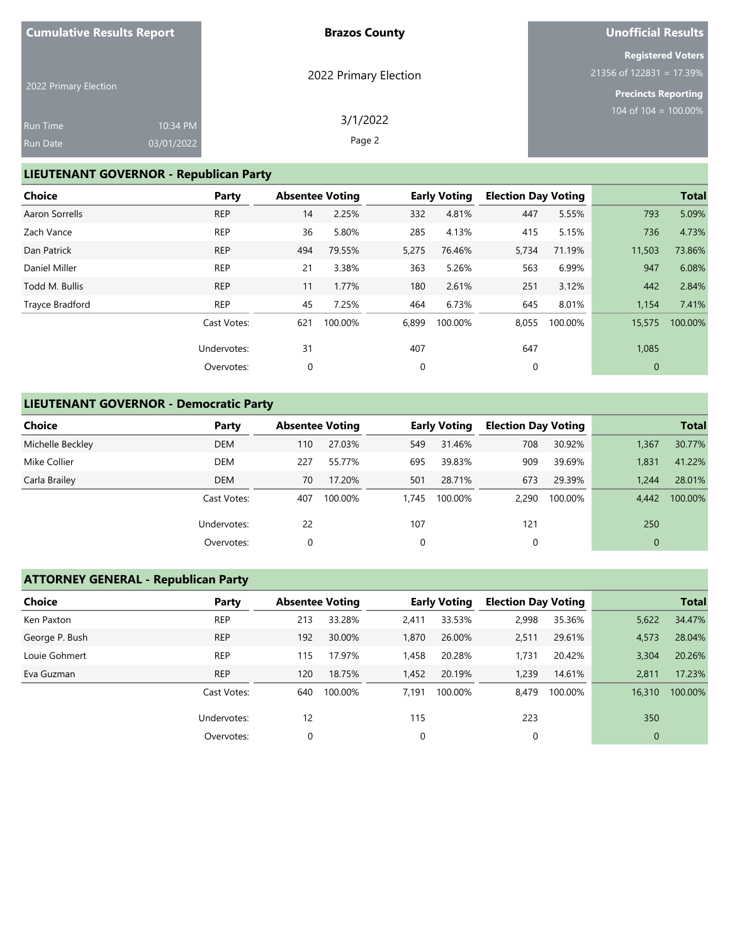| <b>Cumulative Results Report</b> |            | <b>Brazos County</b>  | <b>Unofficial Results</b>                              |
|----------------------------------|------------|-----------------------|--------------------------------------------------------|
|                                  |            |                       | <b>Registered Voters</b><br>$21356$ of 122831 = 17.39% |
| 2022 Primary Election            |            | 2022 Primary Election | <b>Precincts Reporting</b>                             |
| <b>Run Time</b>                  | 10:34 PM   | 3/1/2022              | 104 of 104 = $100.00\%$                                |
| <b>Run Date</b>                  | 03/01/2022 | Page 2                |                                                        |

# **LIEUTENANT GOVERNOR - Republican Party**

| <b>Choice</b>   | Party       | <b>Absentee Voting</b> |         |       | <b>Early Voting</b> | <b>Election Day Voting</b> |         |              | <b>Total</b> |
|-----------------|-------------|------------------------|---------|-------|---------------------|----------------------------|---------|--------------|--------------|
| Aaron Sorrells  | <b>REP</b>  | 14                     | 2.25%   | 332   | 4.81%               | 447                        | 5.55%   | 793          | 5.09%        |
| Zach Vance      | <b>REP</b>  | 36                     | 5.80%   | 285   | 4.13%               | 415                        | 5.15%   | 736          | 4.73%        |
| Dan Patrick     | <b>REP</b>  | 494                    | 79.55%  | 5,275 | 76.46%              | 5,734                      | 71.19%  | 11,503       | 73.86%       |
| Daniel Miller   | <b>REP</b>  | 21                     | 3.38%   | 363   | 5.26%               | 563                        | 6.99%   | 947          | 6.08%        |
| Todd M. Bullis  | <b>REP</b>  | 11                     | 1.77%   | 180   | 2.61%               | 251                        | 3.12%   | 442          | 2.84%        |
| Trayce Bradford | <b>REP</b>  | 45                     | 7.25%   | 464   | 6.73%               | 645                        | 8.01%   | 1,154        | 7.41%        |
|                 | Cast Votes: | 621                    | 100.00% | 6,899 | 100.00%             | 8,055                      | 100.00% | 15,575       | 100.00%      |
|                 | Undervotes: | 31                     |         | 407   |                     | 647                        |         | 1,085        |              |
|                 | Overvotes:  | 0                      |         | 0     |                     | 0                          |         | $\mathbf{0}$ |              |

# **LIEUTENANT GOVERNOR - Democratic Party**

| Choice           | Party       | <b>Absentee Voting</b> |         |       | <b>Early Voting</b> | <b>Election Day Voting</b> |         |              | <b>Total</b> |
|------------------|-------------|------------------------|---------|-------|---------------------|----------------------------|---------|--------------|--------------|
| Michelle Beckley | <b>DEM</b>  | 110                    | 27.03%  | 549   | 31.46%              | 708                        | 30.92%  | 1,367        | 30.77%       |
| Mike Collier     | <b>DEM</b>  | 227                    | 55.77%  | 695   | 39.83%              | 909                        | 39.69%  | 1,831        | 41.22%       |
| Carla Brailey    | <b>DEM</b>  | 70                     | 17.20%  | 501   | 28.71%              | 673                        | 29.39%  | 1.244        | 28.01%       |
|                  | Cast Votes: | 407                    | 100.00% | 1.745 | 100.00%             | 2.290                      | 100.00% | 4.442        | 100.00%      |
|                  | Undervotes: | 22                     |         | 107   |                     | 121                        |         | 250          |              |
|                  | Overvotes:  | 0                      |         | 0     |                     | 0                          |         | $\mathbf{0}$ |              |

# **ATTORNEY GENERAL - Republican Party**

| Choice         | Party       |     | <b>Absentee Voting</b> |       | <b>Early Voting</b> | <b>Election Day Voting</b> |         |                | <b>Total</b> |
|----------------|-------------|-----|------------------------|-------|---------------------|----------------------------|---------|----------------|--------------|
| Ken Paxton     | <b>REP</b>  | 213 | 33.28%                 | 2,411 | 33.53%              | 2,998                      | 35.36%  | 5,622          | 34.47%       |
| George P. Bush | <b>REP</b>  | 192 | 30.00%                 | 1,870 | 26.00%              | 2,511                      | 29.61%  | 4,573          | 28.04%       |
| Louie Gohmert  | <b>REP</b>  | 115 | 17.97%                 | 1,458 | 20.28%              | 1,731                      | 20.42%  | 3,304          | 20.26%       |
| Eva Guzman     | <b>REP</b>  | 120 | 18.75%                 | 1,452 | 20.19%              | 1,239                      | 14.61%  | 2.811          | 17.23%       |
|                | Cast Votes: | 640 | 100.00%                | 7.191 | 100.00%             | 8.479                      | 100.00% | 16,310         | 100.00%      |
|                | Undervotes: | 12  |                        | 115   |                     | 223                        |         | 350            |              |
|                | Overvotes:  | 0   |                        | 0     |                     | 0                          |         | $\overline{0}$ |              |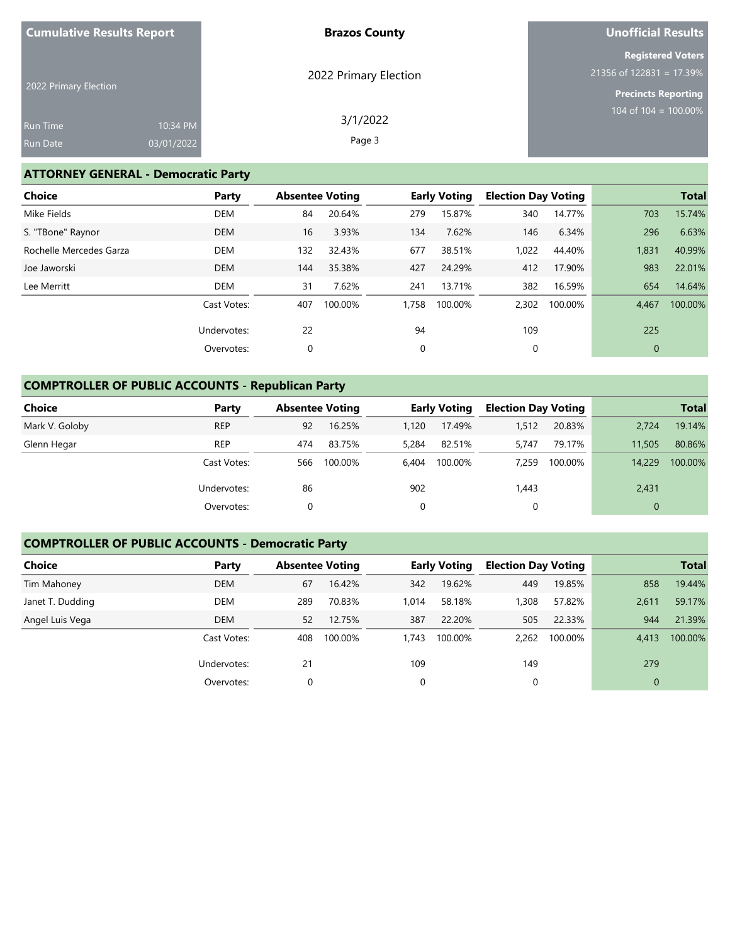| <b>Cumulative Results Report</b> |            | <b>Brazos County</b>  | <b>Unofficial Results</b>                              |
|----------------------------------|------------|-----------------------|--------------------------------------------------------|
|                                  |            | 2022 Primary Election | <b>Registered Voters</b><br>$21356$ of 122831 = 17.39% |
| 2022 Primary Election            |            |                       | <b>Precincts Reporting</b>                             |
| <b>Run Time</b>                  | 10:34 PM   | 3/1/2022              | 104 of 104 = $100.00\%$                                |
| <b>Run Date</b>                  | 03/01/2022 | Page 3                |                                                        |

# **ATTORNEY GENERAL - Democratic Party**

| <b>Choice</b>           | Party       | <b>Absentee Voting</b> |         |             | <b>Early Voting</b> | <b>Election Day Voting</b> |         |              | <b>Total</b> |
|-------------------------|-------------|------------------------|---------|-------------|---------------------|----------------------------|---------|--------------|--------------|
| Mike Fields             | <b>DEM</b>  | 84                     | 20.64%  | 279         | 15.87%              | 340                        | 14.77%  | 703          | 15.74%       |
| S. "TBone" Raynor       | <b>DEM</b>  | 16                     | 3.93%   | 134         | 7.62%               | 146                        | 6.34%   | 296          | 6.63%        |
| Rochelle Mercedes Garza | <b>DEM</b>  | 132                    | 32.43%  | 677         | 38.51%              | 1,022                      | 44.40%  | 1,831        | 40.99%       |
| Joe Jaworski            | <b>DEM</b>  | 144                    | 35.38%  | 427         | 24.29%              | 412                        | 17.90%  | 983          | 22.01%       |
| Lee Merritt             | DEM         | 31                     | 7.62%   | 241         | 13.71%              | 382                        | 16.59%  | 654          | 14.64%       |
|                         | Cast Votes: | 407                    | 100.00% | 1,758       | 100.00%             | 2,302                      | 100.00% | 4.467        | 100.00%      |
|                         | Undervotes: | 22                     |         | 94          |                     | 109                        |         | 225          |              |
|                         | Overvotes:  | 0                      |         | $\mathbf 0$ |                     | 0                          |         | $\mathbf{0}$ |              |

# **COMPTROLLER OF PUBLIC ACCOUNTS - Republican Party**

| <b>Choice</b>  | Party       | <b>Absentee Voting</b> |         |       | <b>Early Voting</b> | <b>Election Day Voting</b> |         |              | <b>Total</b> |
|----------------|-------------|------------------------|---------|-------|---------------------|----------------------------|---------|--------------|--------------|
| Mark V. Goloby | <b>REP</b>  | 92                     | 16.25%  | 1.120 | 17.49%              | 1,512                      | 20.83%  | 2,724        | 19.14%       |
| Glenn Hegar    | <b>REP</b>  | 474                    | 83.75%  | 5.284 | 82.51%              | 5.747                      | 79.17%  | 11,505       | 80.86%       |
|                | Cast Votes: | 566                    | 100.00% | 6.404 | 100.00%             | 7.259                      | 100.00% | 14,229       | 100.00%      |
|                | Undervotes: | 86                     |         | 902   |                     | 1,443                      |         | 2,431        |              |
|                | Overvotes:  | 0                      |         | 0     |                     | 0                          |         | $\mathbf{0}$ |              |

# **COMPTROLLER OF PUBLIC ACCOUNTS - Democratic Party**

| <b>Choice</b>    | Party       |     | <b>Absentee Voting</b> |          | <b>Early Voting</b> | <b>Election Day Voting</b> |         |              | <b>Total</b> |
|------------------|-------------|-----|------------------------|----------|---------------------|----------------------------|---------|--------------|--------------|
| Tim Mahoney      | <b>DEM</b>  | 67  | 16.42%                 | 342      | 19.62%              | 449                        | 19.85%  | 858          | 19.44%       |
| Janet T. Dudding | DEM         | 289 | 70.83%                 | 1.014    | 58.18%              | 1,308                      | 57.82%  | 2.611        | 59.17%       |
| Angel Luis Vega  | <b>DEM</b>  | 52  | 12.75%                 | 387      | 22.20%              | 505                        | 22.33%  | 944          | 21.39%       |
|                  | Cast Votes: | 408 | 100.00%                | 1.743    | 100.00%             | 2.262                      | 100.00% | 4.413        | 100.00%      |
|                  | Undervotes: | 21  |                        | 109      |                     | 149                        |         | 279          |              |
|                  | Overvotes:  | 0   |                        | $\Omega$ |                     | 0                          |         | $\mathbf{0}$ |              |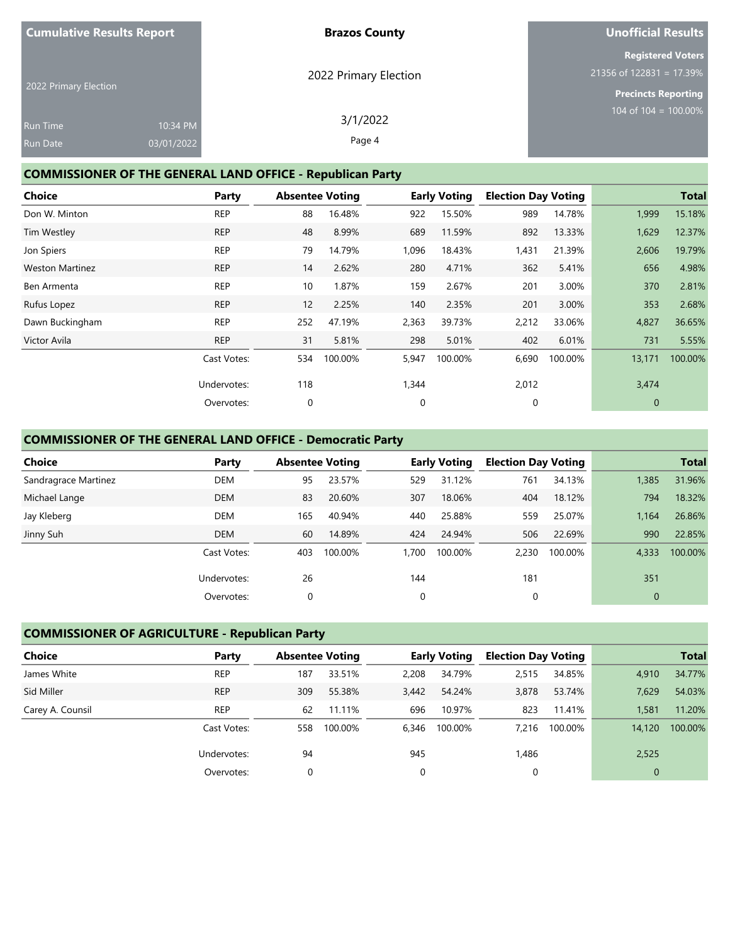| <b>Cumulative Results Report</b> |            | <b>Brazos County</b>  | <b>Unofficial Results</b>  |
|----------------------------------|------------|-----------------------|----------------------------|
|                                  |            |                       | <b>Registered Voters</b>   |
|                                  |            | 2022 Primary Election | $21356$ of 122831 = 17.39% |
| 2022 Primary Election            |            |                       | Precincts Reporting        |
|                                  |            | 3/1/2022              | 104 of 104 = $100.00\%$    |
| <b>Run Time</b>                  | 10:34 PM   |                       |                            |
| Run Date                         | 03/01/2022 | Page 4                |                            |

# **COMMISSIONER OF THE GENERAL LAND OFFICE - Republican Party**

| <b>Choice</b>          | Party       |             | <b>Absentee Voting</b> |             | <b>Early Voting</b> | <b>Election Day Voting</b> |         |                | <b>Total</b> |
|------------------------|-------------|-------------|------------------------|-------------|---------------------|----------------------------|---------|----------------|--------------|
| Don W. Minton          | <b>REP</b>  | 88          | 16.48%                 | 922         | 15.50%              | 989                        | 14.78%  | 1,999          | 15.18%       |
| Tim Westley            | <b>REP</b>  | 48          | 8.99%                  | 689         | 11.59%              | 892                        | 13.33%  | 1,629          | 12.37%       |
| Jon Spiers             | <b>REP</b>  | 79          | 14.79%                 | 1,096       | 18.43%              | 1,431                      | 21.39%  | 2,606          | 19.79%       |
| <b>Weston Martinez</b> | <b>REP</b>  | 14          | 2.62%                  | 280         | 4.71%               | 362                        | 5.41%   | 656            | 4.98%        |
| Ben Armenta            | <b>REP</b>  | 10          | 1.87%                  | 159         | 2.67%               | 201                        | 3.00%   | 370            | 2.81%        |
| Rufus Lopez            | <b>REP</b>  | 12          | 2.25%                  | 140         | 2.35%               | 201                        | 3.00%   | 353            | 2.68%        |
| Dawn Buckingham        | <b>REP</b>  | 252         | 47.19%                 | 2,363       | 39.73%              | 2,212                      | 33.06%  | 4,827          | 36.65%       |
| Victor Avila           | <b>REP</b>  | 31          | 5.81%                  | 298         | 5.01%               | 402                        | 6.01%   | 731            | 5.55%        |
|                        | Cast Votes: | 534         | 100.00%                | 5,947       | 100.00%             | 6,690                      | 100.00% | 13,171         | 100.00%      |
|                        | Undervotes: | 118         |                        | 1,344       |                     | 2,012                      |         | 3,474          |              |
|                        | Overvotes:  | $\mathbf 0$ |                        | $\mathbf 0$ |                     | $\mathbf 0$                |         | $\overline{0}$ |              |

## **COMMISSIONER OF THE GENERAL LAND OFFICE - Democratic Party**

| <b>Choice</b>        | Party       |     | <b>Absentee Voting</b> |       | <b>Early Voting</b> | <b>Election Day Voting</b> |         |              | <b>Total</b> |
|----------------------|-------------|-----|------------------------|-------|---------------------|----------------------------|---------|--------------|--------------|
| Sandragrace Martinez | <b>DEM</b>  | 95  | 23.57%                 | 529   | 31.12%              | 761                        | 34.13%  | 1,385        | 31.96%       |
| Michael Lange        | <b>DEM</b>  | 83  | 20.60%                 | 307   | 18.06%              | 404                        | 18.12%  | 794          | 18.32%       |
| Jay Kleberg          | <b>DEM</b>  | 165 | 40.94%                 | 440   | 25.88%              | 559                        | 25.07%  | 1.164        | 26.86%       |
| Jinny Suh            | <b>DEM</b>  | 60  | 14.89%                 | 424   | 24.94%              | 506                        | 22.69%  | 990          | 22.85%       |
|                      | Cast Votes: | 403 | 100.00%                | 1,700 | 100.00%             | 2,230                      | 100.00% | 4,333        | 100.00%      |
|                      | Undervotes: | 26  |                        | 144   |                     | 181                        |         | 351          |              |
|                      | Overvotes:  | 0   |                        | 0     |                     | 0                          |         | $\mathbf{0}$ |              |

# **COMMISSIONER OF AGRICULTURE - Republican Party**

| <b>Choice</b>    | Party       | <b>Absentee Voting</b> |         |       | <b>Early Voting</b> | <b>Election Day Voting</b> |         |              | <b>Total</b> |
|------------------|-------------|------------------------|---------|-------|---------------------|----------------------------|---------|--------------|--------------|
| James White      | <b>REP</b>  | 187                    | 33.51%  | 2,208 | 34.79%              | 2,515                      | 34.85%  | 4,910        | 34.77%       |
| Sid Miller       | <b>REP</b>  | 309                    | 55.38%  | 3,442 | 54.24%              | 3,878                      | 53.74%  | 7.629        | 54.03%       |
| Carey A. Counsil | <b>REP</b>  | 62                     | 11.11%  | 696   | 10.97%              | 823                        | 11.41%  | 1,581        | 11.20%       |
|                  | Cast Votes: | 558                    | 100.00% | 6,346 | 100.00%             | 7.216                      | 100.00% | 14,120       | 100.00%      |
|                  | Undervotes: | 94                     |         | 945   |                     | 1,486                      |         | 2,525        |              |
|                  | Overvotes:  |                        |         | 0     |                     |                            |         | $\mathbf{0}$ |              |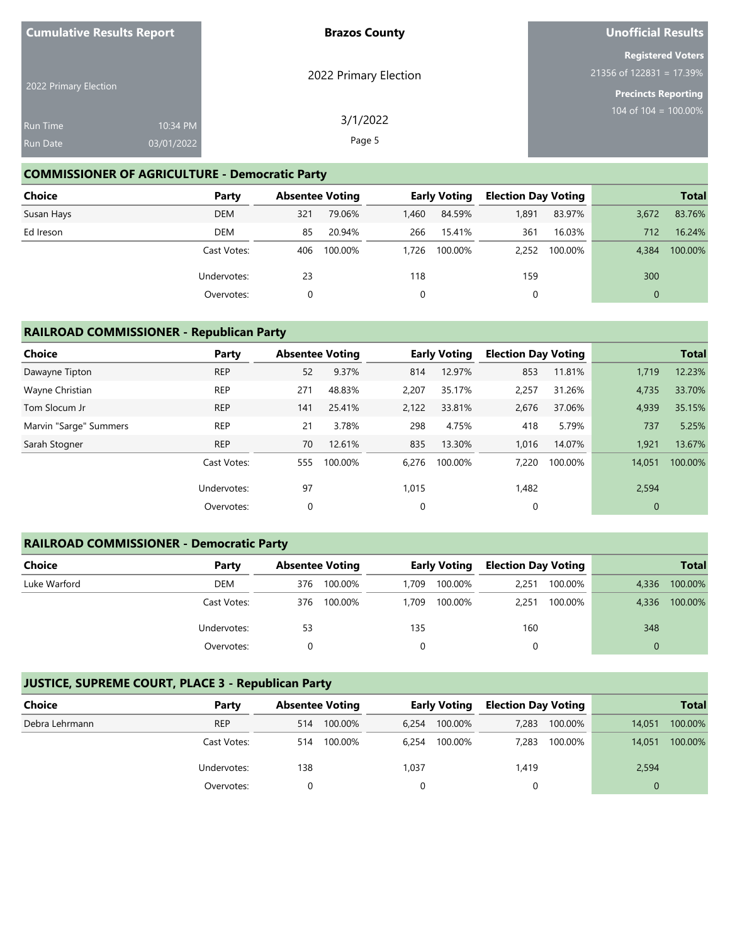| <b>Cumulative Results Report</b> |            | <b>Brazos County</b>  | <b>Unofficial Results</b>                              |
|----------------------------------|------------|-----------------------|--------------------------------------------------------|
|                                  |            | 2022 Primary Election | <b>Registered Voters</b><br>$21356$ of 122831 = 17.39% |
| 2022 Primary Election            |            |                       | <b>Precincts Reporting</b>                             |
| <b>Run Time</b>                  | 10:34 PM   | 3/1/2022              | 104 of $104 = 100.00\%$                                |
| <b>Run Date</b>                  | 03/01/2022 | Page 5                |                                                        |

## **COMMISSIONER OF AGRICULTURE - Democratic Party**

| <b>Choice</b> | Party       |     | <b>Absentee Voting</b> |       | <b>Early Voting</b> | <b>Election Day Voting</b> |         |          | <b>Total</b> |
|---------------|-------------|-----|------------------------|-------|---------------------|----------------------------|---------|----------|--------------|
| Susan Hays    | <b>DEM</b>  | 321 | 79.06%                 | 1.460 | 84.59%              | 1,891                      | 83.97%  | 3,672    | 83.76%       |
| Ed Ireson     | DEM         | 85  | 20.94%                 | 266   | 15.41%              | 361                        | 16.03%  | 712      | 16.24%       |
|               | Cast Votes: | 406 | 100.00%                | 1.726 | 100.00%             | 2.252                      | 100.00% | 4.384    | 100.00%      |
|               | Undervotes: | 23  |                        | 118   |                     | 159                        |         | 300      |              |
|               | Overvotes:  |     |                        | 0     |                     | 0                          |         | $\Omega$ |              |

## **RAILROAD COMMISSIONER - Republican Party**

| Choice                 | Party       |     | <b>Absentee Voting</b> |       | <b>Early Voting</b> | <b>Election Day Voting</b> |         |              | <b>Total</b> |
|------------------------|-------------|-----|------------------------|-------|---------------------|----------------------------|---------|--------------|--------------|
| Dawayne Tipton         | <b>REP</b>  | 52  | 9.37%                  | 814   | 12.97%              | 853                        | 11.81%  | 1,719        | 12.23%       |
| Wayne Christian        | <b>REP</b>  | 271 | 48.83%                 | 2,207 | 35.17%              | 2,257                      | 31.26%  | 4,735        | 33.70%       |
| Tom Slocum Jr          | <b>REP</b>  | 141 | 25.41%                 | 2,122 | 33.81%              | 2,676                      | 37.06%  | 4,939        | 35.15%       |
| Marvin "Sarge" Summers | <b>REP</b>  | 21  | 3.78%                  | 298   | 4.75%               | 418                        | 5.79%   | 737          | 5.25%        |
| Sarah Stogner          | <b>REP</b>  | 70  | 12.61%                 | 835   | 13.30%              | 1,016                      | 14.07%  | 1,921        | 13.67%       |
|                        | Cast Votes: | 555 | 100.00%                | 6,276 | 100.00%             | 7,220                      | 100.00% | 14,051       | 100.00%      |
|                        | Undervotes: | 97  |                        | 1,015 |                     | 1,482                      |         | 2,594        |              |
|                        | Overvotes:  | 0   |                        | 0     |                     | 0                          |         | $\mathbf{0}$ |              |

## **RAILROAD COMMISSIONER - Democratic Party**

| <b>Choice</b> | Party       | <b>Absentee Voting</b> |         |       | <b>Early Voting</b> | <b>Election Day Voting</b> |         |          | <b>Total</b> |
|---------------|-------------|------------------------|---------|-------|---------------------|----------------------------|---------|----------|--------------|
| Luke Warford  | DEM         | 376                    | 100.00% | 1.709 | 100.00%             | 2,251                      | 100.00% | 4,336    | 100.00%      |
|               | Cast Votes: | 376                    | 100.00% | 1.709 | 100.00%             | 2,251                      | 100.00% | 4.336    | 100.00%      |
|               | Undervotes: | 53                     |         | 135   |                     | 160                        |         | 348      |              |
|               | Overvotes:  |                        |         |       |                     |                            |         | $\Omega$ |              |

## **JUSTICE, SUPREME COURT, PLACE 3 - Republican Party**

| Choice         | Party       |     | <b>Absentee Voting</b> |       | <b>Early Voting</b> | <b>Election Day Voting</b> |         |        | <b>Total</b> |
|----------------|-------------|-----|------------------------|-------|---------------------|----------------------------|---------|--------|--------------|
| Debra Lehrmann | <b>REP</b>  | 514 | 100.00%                | 6.254 | 100.00%             | 7,283                      | 100.00% | 14.051 | 100.00%      |
|                | Cast Votes: | 514 | 100.00%                | 6.254 | 100.00%             | 7.283                      | 100.00% | 14,051 | 100.00%      |
|                | Undervotes: | 138 |                        | 1,037 |                     | 1,419                      |         | 2,594  |              |
|                | Overvotes:  |     |                        |       |                     |                            |         |        |              |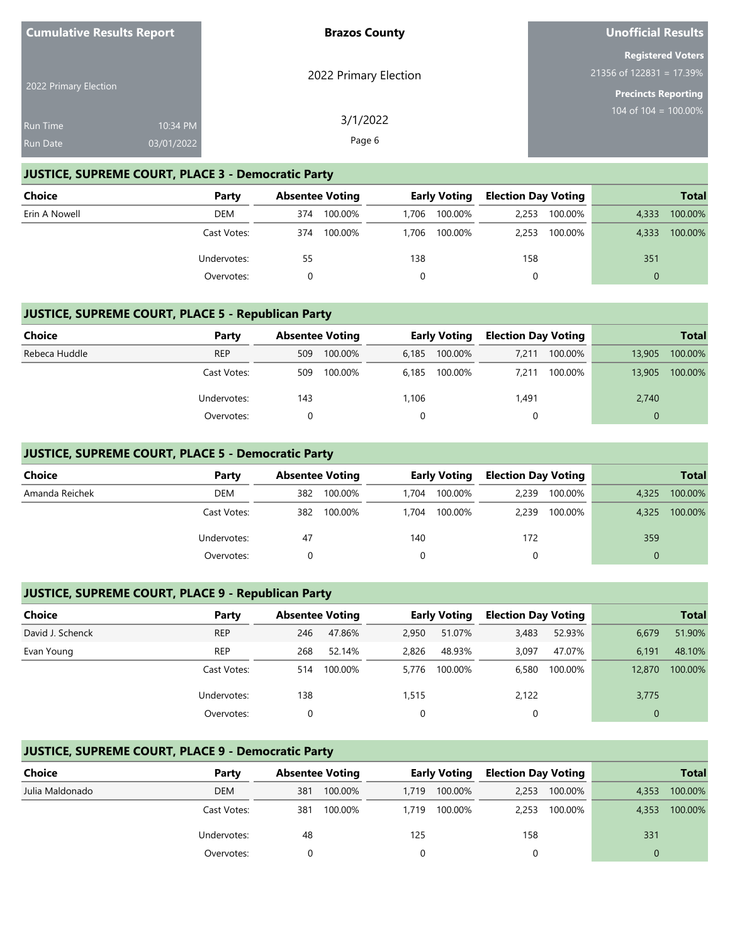| <b>Cumulative Results Report</b> |            | <b>Brazos County</b>  | <b>Unofficial Results</b>                              |
|----------------------------------|------------|-----------------------|--------------------------------------------------------|
|                                  |            | 2022 Primary Election | <b>Registered Voters</b><br>$21356$ of 122831 = 17.39% |
| 2022 Primary Election            |            |                       | <b>Precincts Reporting</b>                             |
| <b>Run Time</b>                  | 10:34 PM   | 3/1/2022              | 104 of 104 = $100.00\%$                                |
| <b>Run Date</b>                  | 03/01/2022 | Page 6                |                                                        |

## **JUSTICE, SUPREME COURT, PLACE 3 - Democratic Party**

| <b>Choice</b> | Party       |     | <b>Absentee Voting</b> |       | <b>Early Voting</b> | <b>Election Day Voting</b> |         |          | <b>Total</b> |
|---------------|-------------|-----|------------------------|-------|---------------------|----------------------------|---------|----------|--------------|
| Erin A Nowell | DEM         | 374 | 100.00%                | 1.706 | 100.00%             | 2.253                      | 100.00% | 4,333    | 100.00%      |
|               | Cast Votes: | 374 | 100.00%                | 1.706 | 100.00%             | 2.253                      | 100.00% | 4.333    | 100.00%      |
|               | Undervotes: | 55  |                        | 138   |                     | 158                        |         | 351      |              |
|               | Overvotes:  |     |                        |       |                     |                            |         | $\Omega$ |              |

## **JUSTICE, SUPREME COURT, PLACE 5 - Republican Party**

| Choice        | Party       |     | <b>Absentee Voting</b> |       | <b>Early Voting</b> |       | <b>Election Day Voting</b> |          | <b>Total</b> |
|---------------|-------------|-----|------------------------|-------|---------------------|-------|----------------------------|----------|--------------|
| Rebeca Huddle | <b>REP</b>  | 509 | 100.00%                | 6.185 | 100.00%             | 7.211 | 100.00%                    | 13,905   | 100.00%      |
|               | Cast Votes: | 509 | 100.00%                | 6.185 | 100.00%             | 7.211 | 100.00%                    | 13,905   | 100.00%      |
|               | Undervotes: | 143 |                        | 1,106 |                     | 1,491 |                            | 2,740    |              |
|               | Overvotes:  |     |                        |       |                     |       |                            | $\Omega$ |              |

## **JUSTICE, SUPREME COURT, PLACE 5 - Democratic Party**

| <b>Choice</b>  | Party       |     | <b>Absentee Voting</b> |       | <b>Early Voting</b> |       | <b>Election Day Voting</b> |       | <b>Total</b> |
|----------------|-------------|-----|------------------------|-------|---------------------|-------|----------------------------|-------|--------------|
| Amanda Reichek | DEM         | 382 | 100.00%                | 1.704 | 100.00%             | 2,239 | 100.00%                    | 4,325 | 100.00%      |
|                | Cast Votes: | 382 | 100.00%                | 1.704 | 100.00%             | 2.239 | 100.00%                    | 4.325 | 100.00%      |
|                | Undervotes: | 47  |                        | 140   |                     | 172   |                            | 359   |              |
|                | Overvotes:  |     |                        |       |                     | 0     |                            |       |              |

## **JUSTICE, SUPREME COURT, PLACE 9 - Republican Party**

| <b>Choice</b>    | Party       | <b>Absentee Voting</b> |         |       | <b>Early Voting</b> | <b>Election Day Voting</b> |         |        | <b>Total</b> |
|------------------|-------------|------------------------|---------|-------|---------------------|----------------------------|---------|--------|--------------|
| David J. Schenck | <b>REP</b>  | 246                    | 47.86%  | 2.950 | 51.07%              | 3,483                      | 52.93%  | 6,679  | 51.90%       |
| Evan Young       | <b>REP</b>  | 268                    | 52.14%  | 2,826 | 48.93%              | 3,097                      | 47.07%  | 6,191  | 48.10%       |
|                  | Cast Votes: | 514                    | 100.00% | 5.776 | 100.00%             | 6,580                      | 100.00% | 12,870 | 100.00%      |
|                  | Undervotes: | 138                    |         | 1,515 |                     | 2,122                      |         | 3,775  |              |
|                  | Overvotes:  | 0                      |         | 0     |                     |                            |         |        |              |

## **JUSTICE, SUPREME COURT, PLACE 9 - Democratic Party**

| Choice          | Party       |     | <b>Absentee Voting</b> |       | <b>Early Voting</b> |       | <b>Election Day Voting</b> |       | <b>Total</b> |
|-----------------|-------------|-----|------------------------|-------|---------------------|-------|----------------------------|-------|--------------|
| Julia Maldonado | <b>DEM</b>  | 381 | 100.00%                | 1.719 | 100.00%             | 2,253 | 100.00%                    | 4,353 | 100.00%      |
|                 | Cast Votes: | 381 | 100.00%                | 1.719 | 100.00%             | 2.253 | 100.00%                    | 4,353 | 100.00%      |
|                 | Undervotes: | 48  |                        | 125   |                     | 158   |                            | 331   |              |
|                 | Overvotes:  |     |                        |       |                     |       |                            |       |              |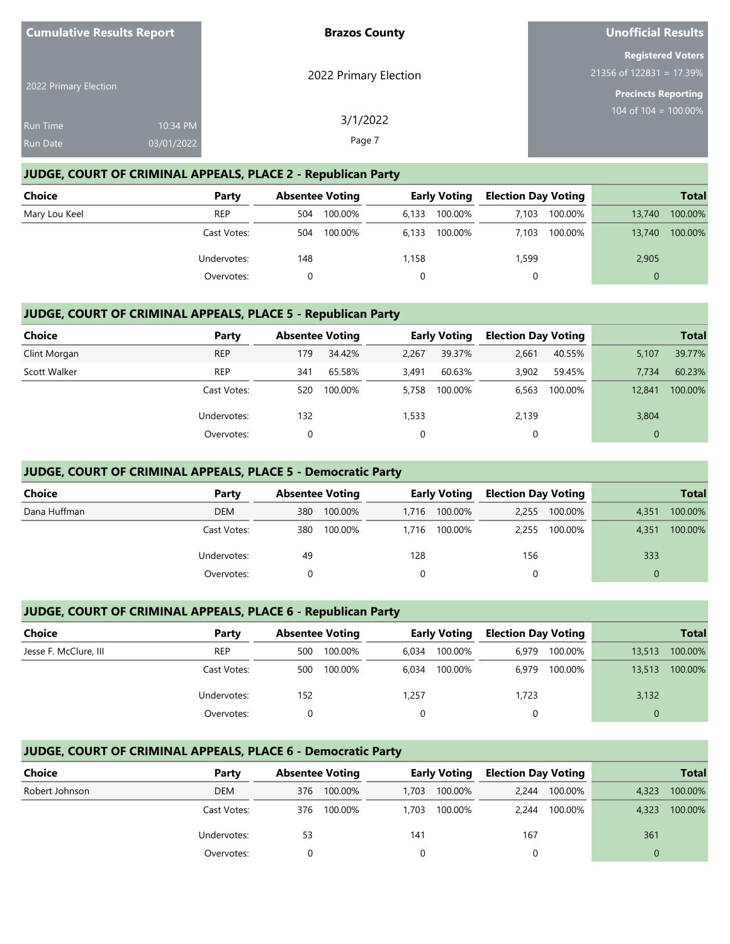| <b>Cumulative Results Report</b>                 | <b>Brazos County</b>           | <b>Unofficial Results</b>                                                            |
|--------------------------------------------------|--------------------------------|--------------------------------------------------------------------------------------|
| 2022 Primary Election                            | 2022 Primary Election          | <b>Registered Voters</b><br>$21356$ of 122831 = 17.39%<br><b>Precincts Reporting</b> |
| <b>Run Time</b><br>03/01/2022<br><b>Run Date</b> | 3/1/2022<br>10:34 PM<br>Page 7 | 104 of 104 = $100.00\%$                                                              |

## **JUDGE, COURT OF CRIMINAL APPEALS, PLACE 2 - Republican Party**

| Choice        | Party       | <b>Absentee Voting</b> | <b>Early Voting</b> | <b>Election Day Voting</b> | <b>Total</b>      |
|---------------|-------------|------------------------|---------------------|----------------------------|-------------------|
| Mary Lou Keel | <b>REP</b>  | 100.00%<br>504         | 100.00%<br>6,133    | 100.00%<br>7.103           | 100.00%<br>13,740 |
|               | Cast Votes: | 100.00%<br>504         | 100.00%<br>6.133    | 100.00%<br>7.103           | 100.00%<br>13,740 |
|               | Undervotes: | 148                    | 1,158               | 1,599                      | 2,905             |
|               | Overvotes:  |                        |                     |                            | $\Omega$          |

#### **JUDGE, COURT OF CRIMINAL APPEALS, PLACE 5 - Republican Party**

| Choice       | Party       | <b>Absentee Voting</b> |         |       | <b>Early Voting</b> | <b>Election Day Voting</b> |         |                | <b>Total</b> |
|--------------|-------------|------------------------|---------|-------|---------------------|----------------------------|---------|----------------|--------------|
| Clint Morgan | <b>REP</b>  | 179                    | 34.42%  | 2,267 | 39.37%              | 2,661                      | 40.55%  | 5,107          | 39.77%       |
| Scott Walker | <b>REP</b>  | 341                    | 65.58%  | 3.491 | 60.63%              | 3,902                      | 59.45%  | 7.734          | 60.23%       |
|              | Cast Votes: | 520                    | 100.00% | 5.758 | 100.00%             | 6,563                      | 100.00% | 12,841         | 100.00%      |
|              | Undervotes: | 132                    |         | 1,533 |                     | 2,139                      |         | 3,804          |              |
|              | Overvotes:  | 0                      |         |       |                     | 0                          |         | $\overline{0}$ |              |

#### **JUDGE, COURT OF CRIMINAL APPEALS, PLACE 5 - Democratic Party**

| <b>Choice</b> | Party       |     | <b>Absentee Voting</b> |       | <b>Early Voting</b> |       | <b>Election Day Voting</b> |          | <b>Total</b> |
|---------------|-------------|-----|------------------------|-------|---------------------|-------|----------------------------|----------|--------------|
| Dana Huffman  | <b>DEM</b>  | 380 | 100.00%                | 1.716 | 100.00%             | 2.255 | 100.00%                    | 4,351    | 100.00%      |
|               | Cast Votes: | 380 | 100.00%                | 1.716 | 100.00%             | 2.255 | 100.00%                    | 4,351    | 100.00%      |
|               | Undervotes: | 49  |                        | 128   |                     | 156   |                            | 333      |              |
|               | Overvotes:  |     |                        |       |                     |       |                            | $\Omega$ |              |

## **JUDGE, COURT OF CRIMINAL APPEALS, PLACE 6 - Republican Party**

| Choice                | Party       |     | <b>Absentee Voting</b> |       | <b>Early Voting</b> |       | <b>Election Day Voting</b> |          | <b>Total</b> |
|-----------------------|-------------|-----|------------------------|-------|---------------------|-------|----------------------------|----------|--------------|
| Jesse F. McClure, III | <b>REP</b>  | 500 | 100.00%                | 6.034 | 100.00%             | 6.979 | 100.00%                    | 13.513   | 100.00%      |
|                       | Cast Votes: | 500 | 100.00%                | 6.034 | 100.00%             | 6.979 | 100.00%                    | 13,513   | 100.00%      |
|                       | Undervotes: | 152 |                        | 1,257 |                     | 1,723 |                            | 3,132    |              |
|                       | Overvotes:  |     |                        | 0     |                     | 0     |                            | $\Omega$ |              |

## **JUDGE, COURT OF CRIMINAL APPEALS, PLACE 6 - Democratic Party**

| Choice         | Party       |     | <b>Absentee Voting</b> |       | <b>Early Voting</b> |       | <b>Election Day Voting</b> | <b>Total</b> |         |
|----------------|-------------|-----|------------------------|-------|---------------------|-------|----------------------------|--------------|---------|
| Robert Johnson | DEM         | 376 | 100.00%                | 1,703 | 100.00%             | 2.244 | 100.00%                    | 4,323        | 100.00% |
|                | Cast Votes: | 376 | 100.00%                | 1.703 | 100.00%             | 2.244 | 100.00%                    | 4,323        | 100.00% |
|                | Undervotes: | 53  |                        | 141   |                     | 167   |                            | 361          |         |
|                | Overvotes:  |     |                        |       |                     |       |                            |              |         |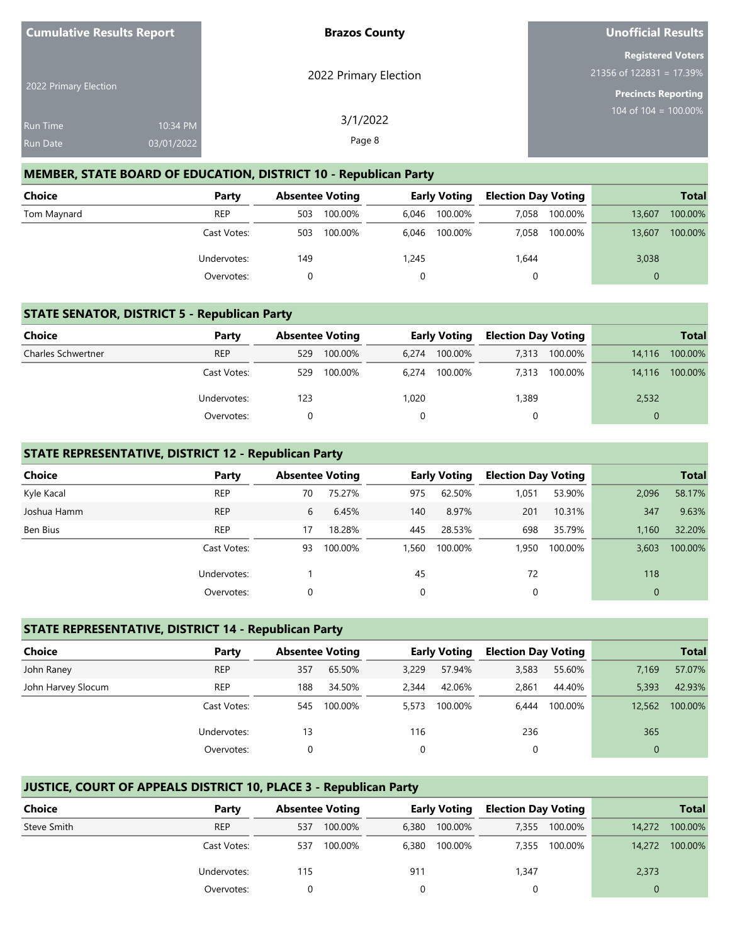| <b>Cumulative Results Report</b> |            | <b>Brazos County</b>  | Unofficial Results                                     |
|----------------------------------|------------|-----------------------|--------------------------------------------------------|
|                                  |            |                       | <b>Registered Voters</b><br>$21356$ of 122831 = 17.39% |
| 2022 Primary Election            |            | 2022 Primary Election | Precincts Reporting                                    |
| <b>Run Time</b>                  | 10:34 PM   | 3/1/2022              | 104 of 104 = $100.00\%$                                |
| Run Date                         | 03/01/2022 | Page 8                |                                                        |

#### **MEMBER, STATE BOARD OF EDUCATION, DISTRICT 10 - Republican Party**

| Choice      | Party       |     | <b>Absentee Voting</b> |       | <b>Early Voting</b> |       | <b>Election Day Voting</b> | <b>Total</b> |         |
|-------------|-------------|-----|------------------------|-------|---------------------|-------|----------------------------|--------------|---------|
| Tom Maynard | <b>REP</b>  | 503 | 100.00%                | 6.046 | 100.00%             | 7.058 | 100.00%                    | 13,607       | 100.00% |
|             | Cast Votes: | 503 | 100.00%                | 6.046 | 100.00%             | 7.058 | 100.00%                    | 13,607       | 100.00% |
|             | Undervotes: | 149 |                        | 1,245 |                     | 1,644 |                            | 3,038        |         |
|             | Overvotes:  |     |                        |       |                     |       |                            | $\Omega$     |         |

#### **STATE SENATOR, DISTRICT 5 - Republican Party**

| Choice                    | Party       |     | <b>Absentee Voting</b> | <b>Early Voting</b> |         | <b>Election Day Voting</b> |         |        | <b>Total</b> |
|---------------------------|-------------|-----|------------------------|---------------------|---------|----------------------------|---------|--------|--------------|
| <b>Charles Schwertner</b> | <b>REP</b>  | 529 | 100.00%                | 6.274               | 100.00% | 7.313                      | 100.00% | 14.116 | 100.00%      |
|                           | Cast Votes: | 529 | 100.00%                | 6.274               | 100.00% | 7.313                      | 100.00% | 14.116 | 100.00%      |
|                           | Undervotes: | 123 |                        | 1,020               |         | ,389                       |         | 2,532  |              |
|                           | Overvotes:  |     |                        |                     |         |                            |         |        |              |

#### **STATE REPRESENTATIVE, DISTRICT 12 - Republican Party**

| <b>Choice</b> | Party       | <b>Absentee Voting</b> |         |       | <b>Early Voting</b> | <b>Election Day Voting</b> |         |                | <b>Total</b> |
|---------------|-------------|------------------------|---------|-------|---------------------|----------------------------|---------|----------------|--------------|
| Kyle Kacal    | <b>REP</b>  | 70                     | 75.27%  | 975   | 62.50%              | 1,051                      | 53.90%  | 2,096          | 58.17%       |
| Joshua Hamm   | <b>REP</b>  | 6                      | 6.45%   | 140   | 8.97%               | 201                        | 10.31%  | 347            | 9.63%        |
| Ben Bius      | <b>REP</b>  | 17                     | 18.28%  | 445   | 28.53%              | 698                        | 35.79%  | 1,160          | 32.20%       |
|               | Cast Votes: | 93                     | 100.00% | 1.560 | 100.00%             | 1,950                      | 100.00% | 3,603          | 100.00%      |
|               | Undervotes: |                        |         | 45    |                     | 72                         |         | 118            |              |
|               | Overvotes:  | 0                      |         | 0     |                     | 0                          |         | $\overline{0}$ |              |

#### **STATE REPRESENTATIVE, DISTRICT 14 - Republican Party**

| <b>Choice</b>      | Party       | <b>Absentee Voting</b> |         |       | <b>Early Voting</b> | <b>Election Day Voting</b> |         |              | <b>Total</b> |
|--------------------|-------------|------------------------|---------|-------|---------------------|----------------------------|---------|--------------|--------------|
| John Raney         | <b>REP</b>  | 357                    | 65.50%  | 3,229 | 57.94%              | 3,583                      | 55.60%  | 7,169        | 57.07%       |
| John Harvey Slocum | <b>REP</b>  | 188                    | 34.50%  | 2.344 | 42.06%              | 2,861                      | 44.40%  | 5,393        | 42.93%       |
|                    | Cast Votes: | 545                    | 100.00% | 5.573 | 100.00%             | 6.444                      | 100.00% | 12.562       | 100.00%      |
|                    | Undervotes: | 13                     |         | 116   |                     | 236                        |         | 365          |              |
|                    | Overvotes:  | 0                      |         | 0     |                     | 0                          |         | $\mathbf{0}$ |              |

## **JUSTICE, COURT OF APPEALS DISTRICT 10, PLACE 3 - Republican Party**

| Choice      | Party       | <b>Absentee Voting</b> |         |       | <b>Early Voting</b> | <b>Election Day Voting</b> |         |        | <b>Total</b> |
|-------------|-------------|------------------------|---------|-------|---------------------|----------------------------|---------|--------|--------------|
| Steve Smith | <b>REP</b>  | 537                    | 100.00% | 6.380 | 100.00%             | 7.355                      | 100.00% | 14,272 | 100.00%      |
|             | Cast Votes: | 537                    | 100.00% | 6.380 | 100.00%             | 7.355                      | 100.00% | 14,272 | 100.00%      |
|             | Undervotes: | 115                    |         | 911   |                     | 1,347                      |         | 2,373  |              |
|             | Overvotes:  |                        |         |       |                     |                            |         |        |              |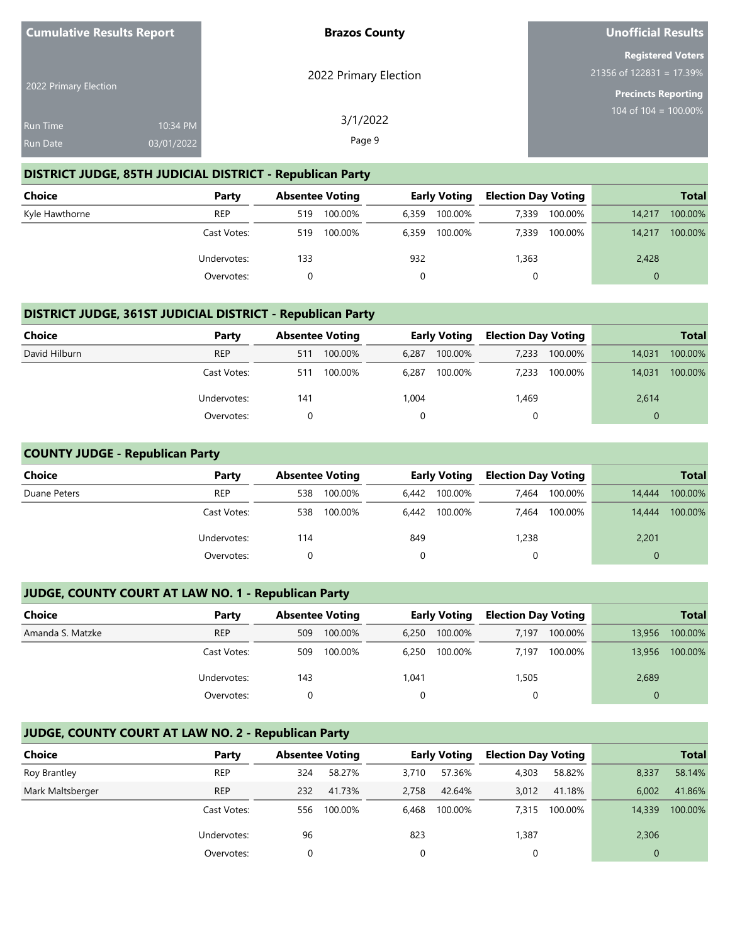| <b>Cumulative Results Report</b> |            | <b>Brazos County</b>  | <b>Unofficial Results</b>                              |
|----------------------------------|------------|-----------------------|--------------------------------------------------------|
|                                  |            | 2022 Primary Election | <b>Registered Voters</b><br>$21356$ of 122831 = 17.39% |
| 2022 Primary Election            |            |                       | <b>Precincts Reporting</b>                             |
| <b>Run Time</b>                  | 10:34 PM   | 3/1/2022              | 104 of $104 = 100.00\%$                                |
| <b>Run Date</b>                  | 03/01/2022 | Page 9                |                                                        |

## **DISTRICT JUDGE, 85TH JUDICIAL DISTRICT - Republican Party**

| Choice         | Party       | <b>Absentee Voting</b> |       | <b>Early Voting</b> | <b>Election Day Voting</b> |         |          | <b>Total</b> |
|----------------|-------------|------------------------|-------|---------------------|----------------------------|---------|----------|--------------|
| Kyle Hawthorne | <b>REP</b>  | 100.00%<br>519         | 6.359 | 100.00%             | 7,339                      | 100.00% | 14.217   | 100.00%      |
|                | Cast Votes: | 100.00%<br>519         | 6.359 | 100.00%             | 7.339                      | 100.00% | 14.217   | 100.00%      |
|                | Undervotes: | 133                    | 932   |                     | 1,363                      |         | 2,428    |              |
|                | Overvotes:  |                        |       |                     |                            |         | $\Omega$ |              |

#### **DISTRICT JUDGE, 361ST JUDICIAL DISTRICT - Republican Party**

| <b>Choice</b> | Party       |     | <b>Absentee Voting</b> |       | <b>Early Voting</b> | <b>Election Day Voting</b> |         |          | <b>Total</b> |
|---------------|-------------|-----|------------------------|-------|---------------------|----------------------------|---------|----------|--------------|
| David Hilburn | <b>REP</b>  | 511 | 100.00%                | 6.287 | 100.00%             | 7.233                      | 100.00% | 14,031   | 100.00%      |
|               | Cast Votes: | 511 | 100.00%                | 6.287 | 100.00%             | 7,233                      | 100.00% | 14.031   | 100.00%      |
|               | Undervotes: | 141 |                        | 1,004 |                     | ,469                       |         | 2,614    |              |
|               | Overvotes:  |     |                        | 0     |                     |                            |         | $\Omega$ |              |

#### **COUNTY JUDGE - Republican Party**

| <b>Choice</b> | Party       | <b>Absentee Voting</b> |         |          | <b>Early Voting</b> | <b>Election Day Voting</b> |         |          | <b>Total</b> |
|---------------|-------------|------------------------|---------|----------|---------------------|----------------------------|---------|----------|--------------|
| Duane Peters  | <b>REP</b>  | 538                    | 100.00% | 6,442    | 100.00%             | 7,464                      | 100.00% | 14,444   | 100.00%      |
|               | Cast Votes: | 538                    | 100.00% | 6.442    | 100.00%             | 7.464                      | 100.00% | 14,444   | 100.00%      |
|               | Undervotes: | 114                    |         | 849      |                     | 1,238                      |         | 2,201    |              |
|               | Overvotes:  |                        |         | $\Omega$ |                     | 0                          |         | $\Omega$ |              |

## **JUDGE, COUNTY COURT AT LAW NO. 1 - Republican Party**

| <b>Choice</b>    | Party       |     | <b>Absentee Voting</b> |       | <b>Early Voting</b> | <b>Election Day Voting</b> |         |        | <b>Total</b> |
|------------------|-------------|-----|------------------------|-------|---------------------|----------------------------|---------|--------|--------------|
| Amanda S. Matzke | <b>REP</b>  | 509 | 100.00%                | 6.250 | 100.00%             | 7.197                      | 100.00% | 13,956 | 100.00%      |
|                  | Cast Votes: | 509 | 100.00%                | 6.250 | 100.00%             | 7.197                      | 100.00% | 13,956 | 100.00%      |
|                  | Undervotes: | 143 |                        | 1,041 |                     | 1,505                      |         | 2,689  |              |
|                  | Overvotes:  |     |                        |       |                     |                            |         |        |              |

## **JUDGE, COUNTY COURT AT LAW NO. 2 - Republican Party**

| Choice           | Party       | <b>Absentee Voting</b> |         |          | <b>Early Voting</b> | <b>Election Day Voting</b> |         |        | <b>Total</b> |
|------------------|-------------|------------------------|---------|----------|---------------------|----------------------------|---------|--------|--------------|
| Roy Brantley     | <b>REP</b>  | 324                    | 58.27%  | 3.710    | 57.36%              | 4,303                      | 58.82%  | 8,337  | 58.14%       |
| Mark Maltsberger | <b>REP</b>  | 232                    | 41.73%  | 2.758    | 42.64%              | 3,012                      | 41.18%  | 6.002  | 41.86%       |
|                  | Cast Votes: | 556                    | 100.00% | 6.468    | 100.00%             | 7.315                      | 100.00% | 14,339 | 100.00%      |
|                  | Undervotes: | 96                     |         | 823      |                     | 1,387                      |         | 2,306  |              |
|                  | Overvotes:  |                        |         | $\Omega$ |                     |                            |         | 0      |              |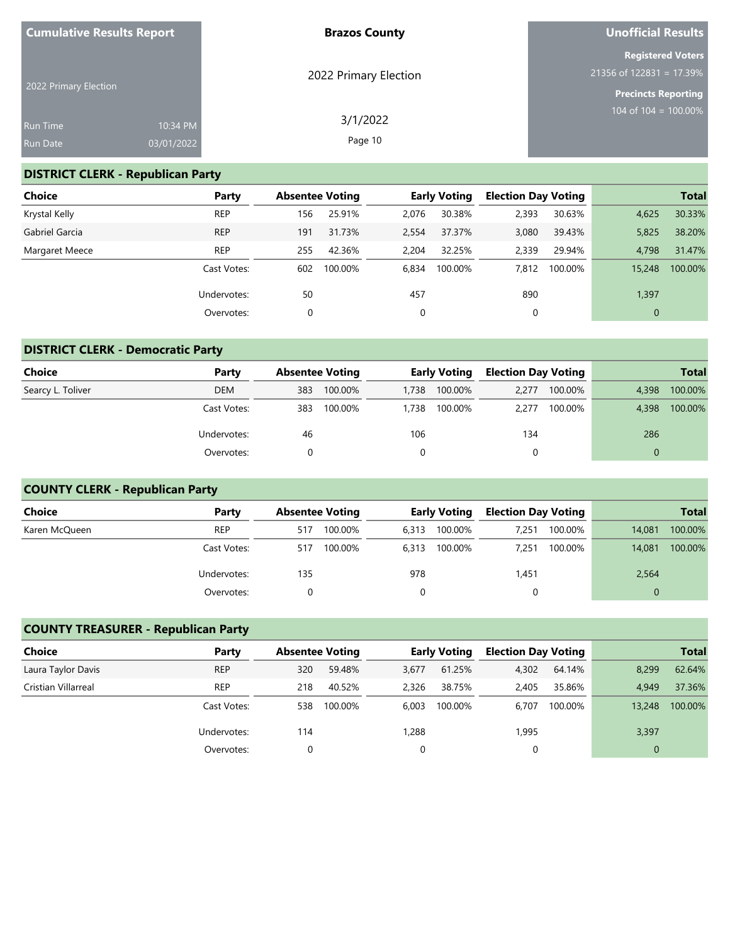| <b>Cumulative Results Report</b>   |                        | <b>Brazos County</b>  | Unofficial Results                                                                   |
|------------------------------------|------------------------|-----------------------|--------------------------------------------------------------------------------------|
| 2022 Primary Election              |                        | 2022 Primary Election | <b>Registered Voters</b><br>$21356$ of 122831 = 17.39%<br><b>Precincts Reporting</b> |
| <b>Run Time</b><br><b>Run Date</b> | 10:34 PM<br>03/01/2022 | 3/1/2022<br>Page 10   | 104 of 104 = $100.00\%$                                                              |

# **DISTRICT CLERK - Republican Party**

| <b>Choice</b>  | Party       | <b>Absentee Voting</b> |         |       | <b>Early Voting</b> | <b>Election Day Voting</b> |         |              | <b>Total</b> |
|----------------|-------------|------------------------|---------|-------|---------------------|----------------------------|---------|--------------|--------------|
| Krystal Kelly  | <b>REP</b>  | 156                    | 25.91%  | 2,076 | 30.38%              | 2,393                      | 30.63%  | 4,625        | 30.33%       |
| Gabriel Garcia | <b>REP</b>  | 191                    | 31.73%  | 2,554 | 37.37%              | 3,080                      | 39.43%  | 5,825        | 38.20%       |
| Margaret Meece | <b>REP</b>  | 255                    | 42.36%  | 2.204 | 32.25%              | 2,339                      | 29.94%  | 4.798        | 31.47%       |
|                | Cast Votes: | 602                    | 100.00% | 6.834 | 100.00%             | 7,812                      | 100.00% | 15,248       | 100.00%      |
|                | Undervotes: | 50                     |         | 457   |                     | 890                        |         | 1,397        |              |
|                | Overvotes:  | 0                      |         | 0     |                     | 0                          |         | $\mathbf{0}$ |              |

# **DISTRICT CLERK - Democratic Party**

| <b>Choice</b>     | Party       |     | <b>Absentee Voting</b> |       | <b>Early Voting</b> |       | <b>Election Day Voting</b> |          | <b>Total</b> |  |  |
|-------------------|-------------|-----|------------------------|-------|---------------------|-------|----------------------------|----------|--------------|--|--|
| Searcy L. Toliver | <b>DEM</b>  | 383 | 100.00%                | 1.738 | 100.00%             | 2.277 | 100.00%                    | 4.398    | 100.00%      |  |  |
|                   | Cast Votes: | 383 | 100.00%                | 1,738 | 100.00%             | 2.277 | 100.00%                    | 4.398    | 100.00%      |  |  |
|                   | Undervotes: | 46  |                        | 106   |                     | 134   |                            | 286      |              |  |  |
|                   | Overvotes:  |     |                        |       |                     |       |                            | $\Omega$ |              |  |  |

# **COUNTY CLERK - Republican Party**

| Choice        | Party       | <b>Absentee Voting</b> |         |       | <b>Early Voting</b> | <b>Election Day Voting</b> |         |          | <b>Total</b> |
|---------------|-------------|------------------------|---------|-------|---------------------|----------------------------|---------|----------|--------------|
| Karen McQueen | <b>REP</b>  | 517                    | 100.00% | 6.313 | 100.00%             | 7.251                      | 100.00% | 14.081   | 100.00%      |
|               | Cast Votes: | 517                    | 100.00% | 6.313 | 100.00%             | 7.251                      | 100.00% | 14.081   | 100.00%      |
|               | Undervotes: | 135                    |         | 978   |                     | 1,451                      |         | 2,564    |              |
|               | Overvotes:  |                        |         |       |                     |                            |         | $\Omega$ |              |

## **COUNTY TREASURER - Republican Party**

| Choice              | Party       | <b>Absentee Voting</b> |         |          | <b>Early Voting</b> | <b>Election Day Voting</b> |         |        | <b>Total</b> |
|---------------------|-------------|------------------------|---------|----------|---------------------|----------------------------|---------|--------|--------------|
| Laura Taylor Davis  | <b>REP</b>  | 320                    | 59.48%  | 3,677    | 61.25%              | 4,302                      | 64.14%  | 8,299  | 62.64%       |
| Cristian Villarreal | <b>REP</b>  | 218                    | 40.52%  | 2.326    | 38.75%              | 2.405                      | 35.86%  | 4.949  | 37.36%       |
|                     | Cast Votes: | 538                    | 100.00% | 6.003    | 100.00%             | 6.707                      | 100.00% | 13,248 | 100.00%      |
|                     | Undervotes: | 114                    |         | 1,288    |                     | 1,995                      |         | 3,397  |              |
|                     | Overvotes:  |                        |         | $\Omega$ |                     |                            |         |        |              |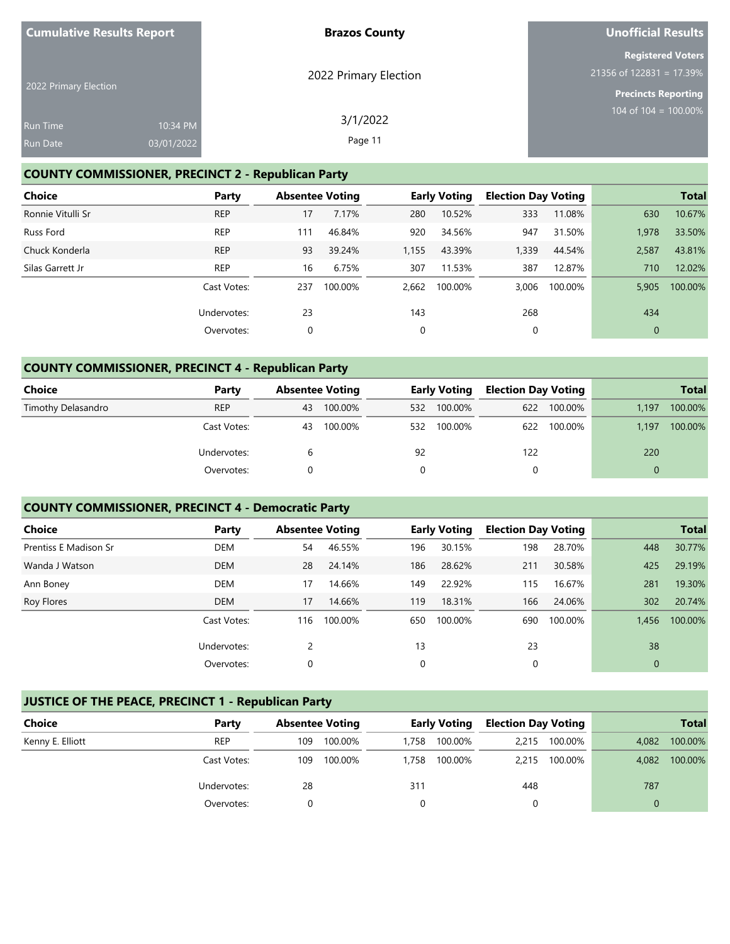| <b>Cumulative Results Report</b> |            | <b>Brazos County</b>  | <b>Unofficial Results</b>                            |
|----------------------------------|------------|-----------------------|------------------------------------------------------|
|                                  |            | 2022 Primary Election | <b>Registered Voters</b><br>21356 of 122831 = 17.39% |
| 2022 Primary Election            |            |                       | <b>Precincts Reporting</b>                           |
| <b>Run Time</b>                  | 10:34 PM   | 3/1/2022              | 104 of $104 = 100.00\%$                              |
| <b>Run Date</b>                  | 03/01/2022 | Page 11               |                                                      |

# **COUNTY COMMISSIONER, PRECINCT 2 - Republican Party**

| Choice            | Party       |     | <b>Absentee Voting</b> |       | <b>Early Voting</b> | <b>Election Day Voting</b> |         |             | <b>Total</b> |
|-------------------|-------------|-----|------------------------|-------|---------------------|----------------------------|---------|-------------|--------------|
| Ronnie Vitulli Sr | <b>REP</b>  | 17  | 7.17%                  | 280   | 10.52%              | 333                        | 11.08%  | 630         | 10.67%       |
| Russ Ford         | <b>REP</b>  | 111 | 46.84%                 | 920   | 34.56%              | 947                        | 31.50%  | 1,978       | 33.50%       |
| Chuck Konderla    | <b>REP</b>  | 93  | 39.24%                 | 1,155 | 43.39%              | 1,339                      | 44.54%  | 2,587       | 43.81%       |
| Silas Garrett Jr  | <b>REP</b>  | 16  | 6.75%                  | 307   | 11.53%              | 387                        | 12.87%  | 710         | 12.02%       |
|                   | Cast Votes: | 237 | 100.00%                | 2,662 | 100.00%             | 3,006                      | 100.00% | 5.905       | 100.00%      |
|                   | Undervotes: | 23  |                        | 143   |                     | 268                        |         | 434         |              |
|                   | Overvotes:  | 0   |                        | 0     |                     | 0                          |         | $\mathbf 0$ |              |

# **COUNTY COMMISSIONER, PRECINCT 4 - Republican Party**

| Choice             | Party       |    | <b>Early Voting</b><br><b>Absentee Voting</b> |     |         | <b>Election Day Voting</b> |         | <b>Total</b> |         |
|--------------------|-------------|----|-----------------------------------------------|-----|---------|----------------------------|---------|--------------|---------|
| Timothy Delasandro | <b>REP</b>  | 43 | 100.00%                                       | 532 | 100.00% | 622                        | 100.00% | 1.197        | 100.00% |
|                    | Cast Votes: | 43 | 100.00%                                       | 532 | 100.00% | 622                        | 100.00% | 1.197        | 100.00% |
|                    | Undervotes: | b  |                                               | 92  |         | 122                        |         | 220          |         |
|                    | Overvotes:  |    |                                               |     |         |                            |         |              |         |

# **COUNTY COMMISSIONER, PRECINCT 4 - Democratic Party**

| <b>Choice</b>         | Party       |     | <b>Absentee Voting</b> |     | <b>Early Voting</b> | <b>Election Day Voting</b> |         |          | <b>Total</b> |
|-----------------------|-------------|-----|------------------------|-----|---------------------|----------------------------|---------|----------|--------------|
| Prentiss E Madison Sr | DEM         | 54  | 46.55%                 | 196 | 30.15%              | 198                        | 28.70%  | 448      | 30.77%       |
| Wanda J Watson        | <b>DEM</b>  | 28  | 24.14%                 | 186 | 28.62%              | 211                        | 30.58%  | 425      | 29.19%       |
| Ann Boney             | <b>DEM</b>  | 17  | 14.66%                 | 149 | 22.92%              | 115                        | 16.67%  | 281      | 19.30%       |
| Roy Flores            | <b>DEM</b>  | 17  | 14.66%                 | 119 | 18.31%              | 166                        | 24.06%  | 302      | 20.74%       |
|                       | Cast Votes: | 116 | 100.00%                | 650 | 100.00%             | 690                        | 100.00% | 1,456    | 100.00%      |
|                       | Undervotes: | 2   |                        | 13  |                     | 23                         |         | 38       |              |
|                       | Overvotes:  | 0   |                        | 0   |                     | 0                          |         | $\theta$ |              |

# **JUSTICE OF THE PEACE, PRECINCT 1 - Republican Party**

| <b>Choice</b>    | Party       |     | <b>Absentee Voting</b> |       | <b>Early Voting</b> | <b>Election Day Voting</b> |         |       | <b>Total</b> |
|------------------|-------------|-----|------------------------|-------|---------------------|----------------------------|---------|-------|--------------|
| Kenny E. Elliott | <b>REP</b>  | 109 | 100.00%                | 1.758 | 100.00%             | 2,215                      | 100.00% | 4,082 | 100.00%      |
|                  | Cast Votes: | 109 | 100.00%                | 1.758 | 100.00%             | 2,215                      | 100.00% | 4,082 | 100.00%      |
|                  | Undervotes: | 28  |                        | 311   |                     | 448                        |         | 787   |              |
|                  | Overvotes:  |     |                        |       |                     |                            |         |       |              |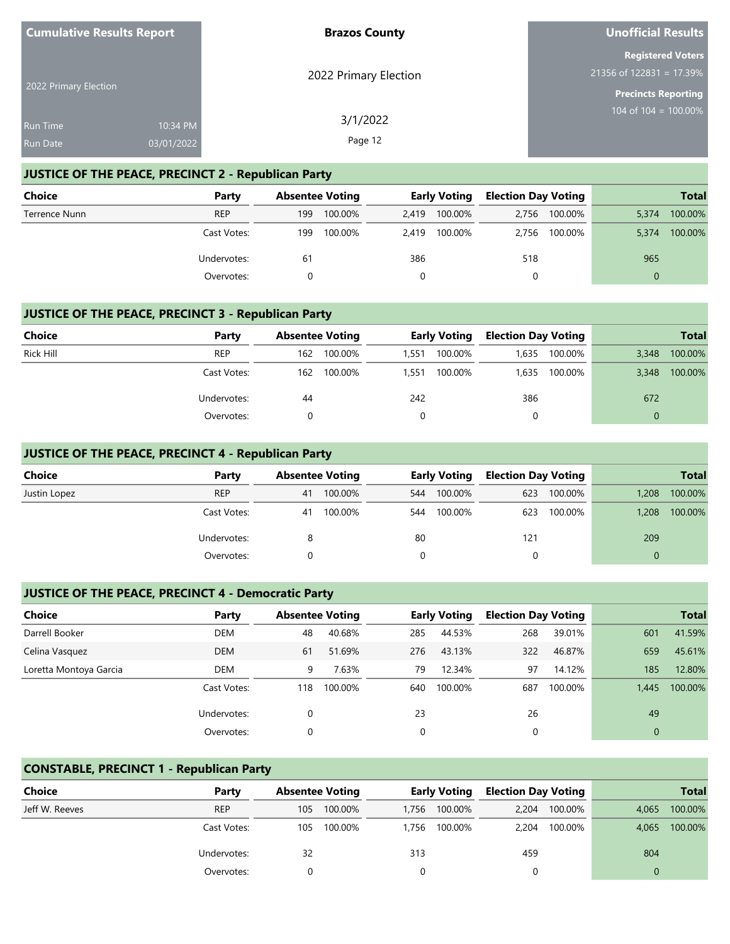| <b>Cumulative Results Report</b> |            | <b>Brazos County</b>  | Unofficial Results                                   |
|----------------------------------|------------|-----------------------|------------------------------------------------------|
|                                  |            | 2022 Primary Election | <b>Registered Voters</b><br>21356 of 122831 = 17.39% |
| 2022 Primary Election            |            |                       | <b>Precincts Reporting</b>                           |
| <b>Run Time</b>                  | 10:34 PM   | 3/1/2022              | 104 of 104 = $100.00\%$                              |
| <b>Run Date</b>                  | 03/01/2022 | Page 12               |                                                      |

## **JUSTICE OF THE PEACE, PRECINCT 2 - Republican Party**

| Choice        | Party       | <b>Absentee Voting</b> |         | Early Voting |               | <b>Election Day Voting</b> |         |          | <b>Total</b> |
|---------------|-------------|------------------------|---------|--------------|---------------|----------------------------|---------|----------|--------------|
| Terrence Nunn | <b>REP</b>  | 199                    | 100.00% |              | 2,419 100.00% | 2.756                      | 100.00% | 5,374    | 100.00%      |
|               | Cast Votes: | 199                    | 100.00% |              | 2,419 100.00% | 2.756                      | 100.00% | 5.374    | 100.00%      |
|               | Undervotes: | 61                     |         | 386          |               | 518                        |         | 965      |              |
|               | Overvotes:  |                        |         |              |               | 0                          |         | $\Omega$ |              |

## **JUSTICE OF THE PEACE, PRECINCT 3 - Republican Party**

| Choice           | Party       |     | <b>Absentee Voting</b> |       | <b>Early Voting</b> | <b>Election Day Voting</b> |         |          | <b>Total</b> |
|------------------|-------------|-----|------------------------|-------|---------------------|----------------------------|---------|----------|--------------|
| <b>Rick Hill</b> | <b>REP</b>  | 162 | 100.00%                | 1.551 | 100.00%             | 1,635                      | 100.00% | 3,348    | 100.00%      |
|                  | Cast Votes: | 162 | 100.00%                | 1.551 | 100.00%             | 1.635                      | 100.00% | 3,348    | 100.00%      |
|                  | Undervotes: | 44  |                        | 242   |                     | 386                        |         | 672      |              |
|                  | Overvotes:  |     |                        |       |                     |                            |         | $\Omega$ |              |

## **JUSTICE OF THE PEACE, PRECINCT 4 - Republican Party**

| <b>Choice</b> | Party       |    | <b>Absentee Voting</b> |     | <b>Early Voting</b> | <b>Election Day Voting</b> |         |          | <b>Total</b> |
|---------------|-------------|----|------------------------|-----|---------------------|----------------------------|---------|----------|--------------|
| Justin Lopez  | <b>REP</b>  | 41 | 100.00%                | 544 | 100.00%             | 623                        | 100.00% | 1,208    | 100.00%      |
|               | Cast Votes: | 41 | 100.00%                | 544 | 100.00%             | 623                        | 100.00% | 1,208    | 100.00%      |
|               | Undervotes: |    |                        | 80  |                     | 121                        |         | 209      |              |
|               | Overvotes:  |    |                        |     |                     | 0                          |         | $\Omega$ |              |

## **JUSTICE OF THE PEACE, PRECINCT 4 - Democratic Party**

| <b>Choice</b>          | Party       | <b>Absentee Voting</b> |         |     | <b>Early Voting</b> | <b>Election Day Voting</b> |         |          | <b>Total</b> |
|------------------------|-------------|------------------------|---------|-----|---------------------|----------------------------|---------|----------|--------------|
| Darrell Booker         | DEM         | 48                     | 40.68%  | 285 | 44.53%              | 268                        | 39.01%  | 601      | 41.59%       |
| Celina Vasquez         | <b>DEM</b>  | 61                     | 51.69%  | 276 | 43.13%              | 322                        | 46.87%  | 659      | 45.61%       |
| Loretta Montoya Garcia | DEM         | 9                      | 7.63%   | 79  | 12.34%              | 97                         | 14.12%  | 185      | 12.80%       |
|                        | Cast Votes: | 118                    | 100.00% | 640 | 100.00%             | 687                        | 100.00% | 1.445    | 100.00%      |
|                        | Undervotes: |                        |         | 23  |                     | 26                         |         | 49       |              |
|                        | Overvotes:  |                        |         | 0   |                     |                            |         | $\Omega$ |              |

## **CONSTABLE, PRECINCT 1 - Republican Party**

| <b>Choice</b>  | Party       |     | <b>Absentee Voting</b> |       | <b>Early Voting</b> | <b>Election Day Voting</b> |         |       | <b>Total</b> |
|----------------|-------------|-----|------------------------|-------|---------------------|----------------------------|---------|-------|--------------|
| Jeff W. Reeves | <b>REP</b>  | 105 | 100.00%                | 1.756 | 100.00%             | 2.204                      | 100.00% | 4.065 | 100.00%      |
|                | Cast Votes: | 105 | 100.00%                | 1.756 | 100.00%             | 2.204                      | 100.00% | 4.065 | 100.00%      |
|                | Undervotes: | 32  |                        | 313   |                     | 459                        |         | 804   |              |
|                | Overvotes:  |     |                        |       |                     |                            |         |       |              |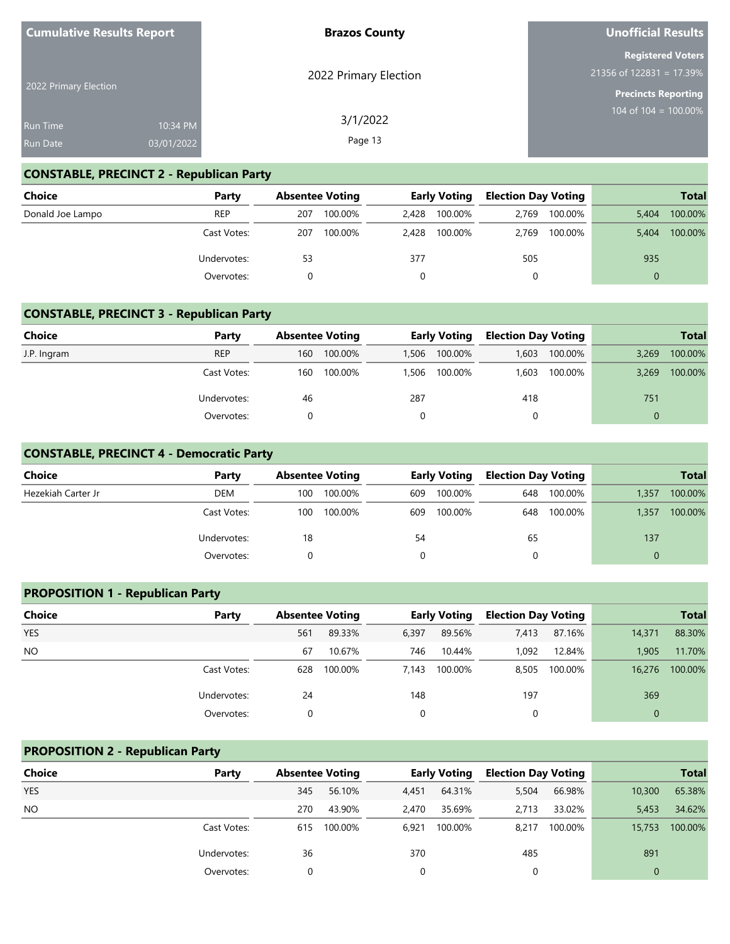| <b>Cumulative Results Report</b>   |                        | <b>Brazos County</b>  | Unofficial Results                                                                   |
|------------------------------------|------------------------|-----------------------|--------------------------------------------------------------------------------------|
| 2022 Primary Election              |                        | 2022 Primary Election | <b>Registered Voters</b><br>$21356$ of 122831 = 17.39%<br><b>Precincts Reporting</b> |
| <b>Run Time</b><br><b>Run Date</b> | 10:34 PM<br>03/01/2022 | 3/1/2022<br>Page 13   | $104$ of $104 = 100.00\%$                                                            |

# **CONSTABLE, PRECINCT 2 - Republican Party**

| <b>Choice</b>    | Party       |     | <b>Absentee Voting</b> |       | <b>Early Voting</b> |       | <b>Election Day Voting</b> |          | <b>Total</b> |
|------------------|-------------|-----|------------------------|-------|---------------------|-------|----------------------------|----------|--------------|
| Donald Joe Lampo | <b>REP</b>  | 207 | 100.00%                | 2.428 | 100.00%             | 2.769 | 100.00%                    | 5.404    | 100.00%      |
|                  | Cast Votes: | 207 | 100.00%                | 2.428 | 100.00%             | 2.769 | 100.00%                    | 5.404    | 100.00%      |
|                  | Undervotes: | 53  |                        | 377   |                     | 505   |                            | 935      |              |
|                  | Overvotes:  |     |                        |       |                     |       |                            | $\Omega$ |              |

## **CONSTABLE, PRECINCT 3 - Republican Party**

| <b>Choice</b> | Party       |     | <b>Absentee Voting</b> |       | <b>Early Voting</b> | <b>Election Day Voting</b> |         |       | <b>Total</b> |
|---------------|-------------|-----|------------------------|-------|---------------------|----------------------------|---------|-------|--------------|
| J.P. Ingram   | <b>REP</b>  | 160 | 100.00%                | 1,506 | 100.00%             | 1,603                      | 100.00% | 3,269 | 100.00%      |
|               | Cast Votes: | 160 | 100.00%                | 1,506 | 100.00%             | 1,603                      | 100.00% | 3.269 | 100.00%      |
|               | Undervotes: | 46  |                        | 287   |                     | 418                        |         | 751   |              |
|               | Overvotes:  |     |                        |       |                     |                            |         |       |              |

#### **CONSTABLE, PRECINCT 4 - Democratic Party**

| <b>Choice</b>      | Party       |     | <b>Absentee Voting</b> |     | <b>Early Voting</b> | <b>Election Day Voting</b> |         |       | <b>Total</b> |
|--------------------|-------------|-----|------------------------|-----|---------------------|----------------------------|---------|-------|--------------|
| Hezekiah Carter Jr | DEM         | 100 | 100.00%                | 609 | 100.00%             | 648                        | 100.00% | 1,357 | 100.00%      |
|                    | Cast Votes: | 100 | 100.00%                | 609 | 100.00%             | 648                        | 100.00% | 1,357 | 100.00%      |
|                    | Undervotes: | 18  |                        | 54  |                     | 65                         |         | 137   |              |
|                    | Overvotes:  |     |                        |     |                     |                            |         |       |              |

# **PROPOSITION 1 - Republican Party**

| <b>Choice</b> | Party       |     | <b>Absentee Voting</b> |             | <b>Early Voting</b> | <b>Election Day Voting</b> |         |          | <b>Total</b> |
|---------------|-------------|-----|------------------------|-------------|---------------------|----------------------------|---------|----------|--------------|
| <b>YES</b>    |             | 561 | 89.33%                 | 6,397       | 89.56%              | 7,413                      | 87.16%  | 14,371   | 88.30%       |
| <b>NO</b>     |             | 67  | 10.67%                 | 746         | 10.44%              | 1,092                      | 12.84%  | 1,905    | 11.70%       |
|               | Cast Votes: | 628 | 100.00%                | 7.143       | 100.00%             | 8.505                      | 100.00% | 16,276   | 100.00%      |
|               | Undervotes: | 24  |                        | 148         |                     | 197                        |         | 369      |              |
|               | Overvotes:  |     |                        | $\mathbf 0$ |                     | $\Omega$                   |         | $\Omega$ |              |

#### **PROPOSITION 2 - Republican Party**

| <b>Choice</b> | Party       | <b>Absentee Voting</b> |         |       | <b>Early Voting</b> | <b>Election Day Voting</b> |         |              | <b>Total</b> |
|---------------|-------------|------------------------|---------|-------|---------------------|----------------------------|---------|--------------|--------------|
| <b>YES</b>    |             | 345                    | 56.10%  | 4,451 | 64.31%              | 5,504                      | 66.98%  | 10,300       | 65.38%       |
| <b>NO</b>     |             | 270                    | 43.90%  | 2,470 | 35.69%              | 2.713                      | 33.02%  | 5,453        | 34.62%       |
|               | Cast Votes: | 615                    | 100.00% | 6.921 | 100.00%             | 8,217                      | 100.00% | 15,753       | 100.00%      |
|               | Undervotes: | 36                     |         | 370   |                     | 485                        |         | 891          |              |
|               | Overvotes:  | 0                      |         | 0     |                     | 0                          |         | $\mathbf{0}$ |              |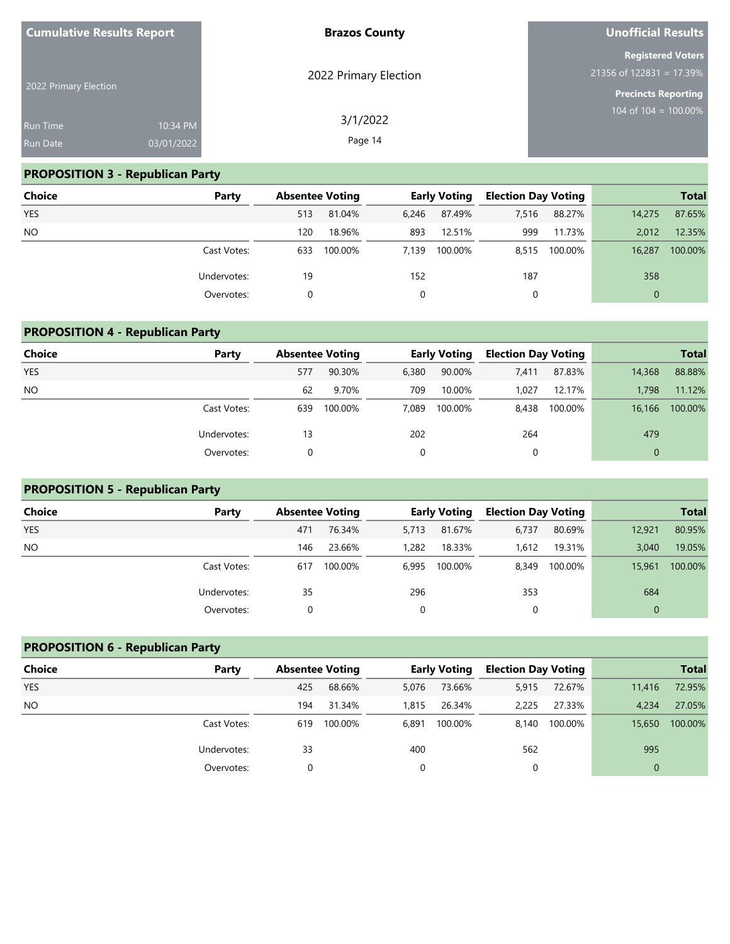| <b>Cumulative Results Report</b>   |                        | <b>Brazos County</b>  | Unofficial Results                                                                   |
|------------------------------------|------------------------|-----------------------|--------------------------------------------------------------------------------------|
| 2022 Primary Election              |                        | 2022 Primary Election | <b>Registered Voters</b><br>$21356$ of 122831 = 17.39%<br><b>Precincts Reporting</b> |
| <b>Run Time</b><br><b>Run Date</b> | 10:34 PM<br>03/01/2022 | 3/1/2022<br>Page 14   | 104 of 104 = $100.00\%$                                                              |

# **PROPOSITION 3 - Republican Party**

| Choice     | Party       |     | <b>Absentee Voting</b> |       | <b>Early Voting</b> | <b>Election Day Voting</b> |         |              | <b>Total</b> |
|------------|-------------|-----|------------------------|-------|---------------------|----------------------------|---------|--------------|--------------|
| <b>YES</b> |             | 513 | 81.04%                 | 6.246 | 87.49%              | 7,516                      | 88.27%  | 14,275       | 87.65%       |
| <b>NO</b>  |             | 120 | 18.96%                 | 893   | 12.51%              | 999                        | 11.73%  | 2.012        | 12.35%       |
|            | Cast Votes: | 633 | 100.00%                | 7.139 | 100.00%             | 8,515                      | 100.00% | 16.287       | 100.00%      |
|            | Undervotes: | 19  |                        | 152   |                     | 187                        |         | 358          |              |
|            | Overvotes:  | 0   |                        |       |                     | 0                          |         | $\mathbf{0}$ |              |

# **PROPOSITION 4 - Republican Party**

| <b>Choice</b> | Party       | <b>Absentee Voting</b> |         |       | <b>Early Voting</b> | <b>Election Day Voting</b> |         |              | <b>Total</b> |
|---------------|-------------|------------------------|---------|-------|---------------------|----------------------------|---------|--------------|--------------|
| YES           |             | 577                    | 90.30%  | 6,380 | 90.00%              | 7,411                      | 87.83%  | 14,368       | 88.88%       |
| <b>NO</b>     |             | 62                     | 9.70%   | 709   | 10.00%              | 1.027                      | 12.17%  | 1.798        | 11.12%       |
|               | Cast Votes: | 639                    | 100.00% | 7.089 | 100.00%             | 8,438                      | 100.00% | 16,166       | 100.00%      |
|               | Undervotes: | 13                     |         | 202   |                     | 264                        |         | 479          |              |
|               | Overvotes:  |                        |         | 0     |                     | 0                          |         | $\mathbf{0}$ |              |

# **PROPOSITION 5 - Republican Party**

| Choice     | Party       | <b>Absentee Voting</b> |         |       | <b>Early Voting</b> | <b>Election Day Voting</b> |         |          | <b>Total</b> |
|------------|-------------|------------------------|---------|-------|---------------------|----------------------------|---------|----------|--------------|
| <b>YES</b> |             | 471                    | 76.34%  | 5,713 | 81.67%              | 6,737                      | 80.69%  | 12,921   | 80.95%       |
| <b>NO</b>  |             | 146                    | 23.66%  | 1,282 | 18.33%              | 1.612                      | 19.31%  | 3.040    | 19.05%       |
|            | Cast Votes: | 617                    | 100.00% | 6,995 | 100.00%             | 8,349                      | 100.00% | 15,961   | 100.00%      |
|            | Undervotes: | 35                     |         | 296   |                     | 353                        |         | 684      |              |
|            | Overvotes:  |                        |         | 0     |                     | 0                          |         | $\Omega$ |              |

# **PROPOSITION 6 - Republican Party**

| <b>Choice</b> | Party       | <b>Absentee Voting</b> |         | <b>Early Voting</b> |         | <b>Election Day Voting</b> |         |          | <b>Total</b> |
|---------------|-------------|------------------------|---------|---------------------|---------|----------------------------|---------|----------|--------------|
| <b>YES</b>    |             | 425                    | 68.66%  | 5,076               | 73.66%  | 5,915                      | 72.67%  | 11,416   | 72.95%       |
| NO.           |             | 194                    | 31.34%  | 1.815               | 26.34%  | 2.225                      | 27.33%  | 4,234    | 27.05%       |
|               | Cast Votes: | 619                    | 100.00% | 6,891               | 100.00% | 8.140                      | 100.00% | 15,650   | 100.00%      |
|               | Undervotes: | 33                     |         | 400                 |         | 562                        |         | 995      |              |
|               | Overvotes:  |                        |         |                     |         |                            |         | $\Omega$ |              |